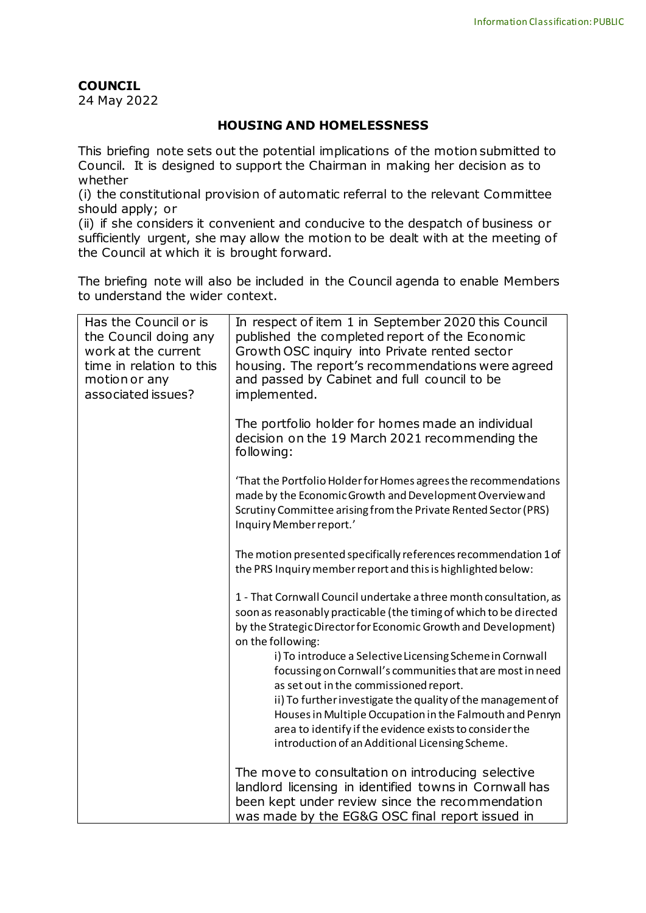## **COUNCIL**

24 May 2022

## **HOUSING AND HOMELESSNESS**

This briefing note sets out the potential implications of the motion submitted to Council. It is designed to support the Chairman in making her decision as to whether

(i) the constitutional provision of automatic referral to the relevant Committee should apply; or

(ii) if she considers it convenient and conducive to the despatch of business or sufficiently urgent, she may allow the motion to be dealt with at the meeting of the Council at which it is brought forward.

The briefing note will also be included in the Council agenda to enable Members to understand the wider context.

| Has the Council or is<br>the Council doing any<br>work at the current<br>time in relation to this<br>motion or any<br>associated issues? | In respect of item 1 in September 2020 this Council<br>published the completed report of the Economic<br>Growth OSC inquiry into Private rented sector<br>housing. The report's recommendations were agreed<br>and passed by Cabinet and full council to be<br>implemented. |
|------------------------------------------------------------------------------------------------------------------------------------------|-----------------------------------------------------------------------------------------------------------------------------------------------------------------------------------------------------------------------------------------------------------------------------|
|                                                                                                                                          | The portfolio holder for homes made an individual<br>decision on the 19 March 2021 recommending the<br>following:                                                                                                                                                           |
|                                                                                                                                          | 'That the Portfolio Holder for Homes agrees the recommendations<br>made by the Economic Growth and Development Overview and<br>Scrutiny Committee arising from the Private Rented Sector (PRS)<br>Inquiry Member report.'                                                   |
|                                                                                                                                          | The motion presented specifically references recommendation 1 of<br>the PRS Inquiry member report and this is highlighted below:                                                                                                                                            |
|                                                                                                                                          | 1 - That Cornwall Council undertake a three month consultation, as<br>soon as reasonably practicable (the timing of which to be directed<br>by the Strategic Director for Economic Growth and Development)<br>on the following:                                             |
|                                                                                                                                          | i) To introduce a Selective Licensing Scheme in Cornwall<br>focussing on Cornwall's communities that are most in need<br>as set out in the commissioned report.                                                                                                             |
|                                                                                                                                          | ii) To further investigate the quality of the management of<br>Houses in Multiple Occupation in the Falmouth and Penryn<br>area to identify if the evidence exists to consider the<br>introduction of an Additional Licensing Scheme.                                       |
|                                                                                                                                          | The move to consultation on introducing selective<br>landlord licensing in identified towns in Cornwall has<br>been kept under review since the recommendation<br>was made by the EG&G OSC final report issued in                                                           |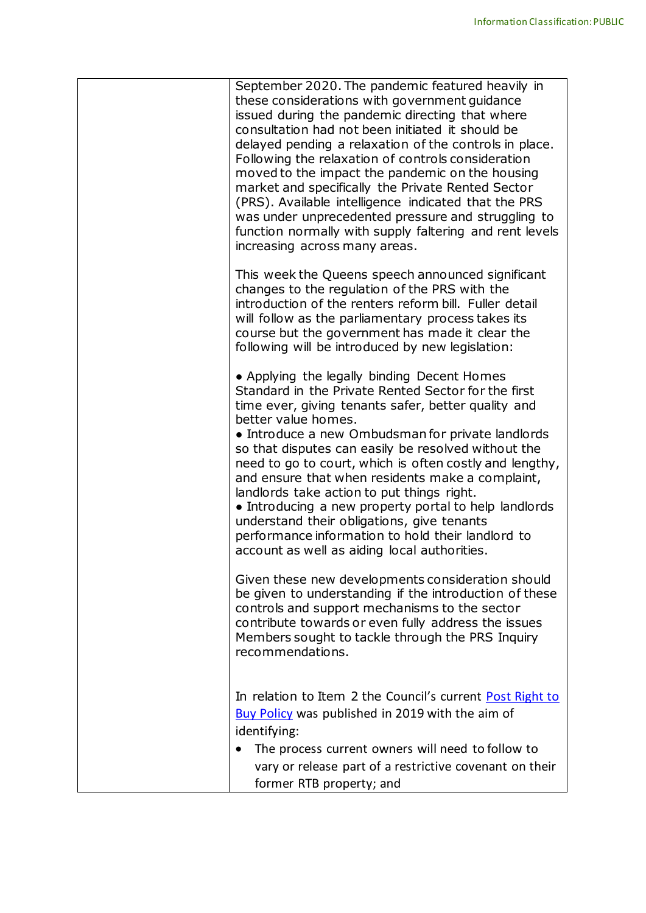| September 2020. The pandemic featured heavily in<br>these considerations with government guidance<br>issued during the pandemic directing that where<br>consultation had not been initiated it should be<br>delayed pending a relaxation of the controls in place.<br>Following the relaxation of controls consideration<br>moved to the impact the pandemic on the housing<br>market and specifically the Private Rented Sector<br>(PRS). Available intelligence indicated that the PRS<br>was under unprecedented pressure and struggling to<br>function normally with supply faltering and rent levels<br>increasing across many areas.                                                                                 |
|----------------------------------------------------------------------------------------------------------------------------------------------------------------------------------------------------------------------------------------------------------------------------------------------------------------------------------------------------------------------------------------------------------------------------------------------------------------------------------------------------------------------------------------------------------------------------------------------------------------------------------------------------------------------------------------------------------------------------|
| This week the Queens speech announced significant<br>changes to the regulation of the PRS with the<br>introduction of the renters reform bill. Fuller detail<br>will follow as the parliamentary process takes its<br>course but the government has made it clear the<br>following will be introduced by new legislation:                                                                                                                                                                                                                                                                                                                                                                                                  |
| • Applying the legally binding Decent Homes<br>Standard in the Private Rented Sector for the first<br>time ever, giving tenants safer, better quality and<br>better value homes.<br>• Introduce a new Ombudsman for private landlords<br>so that disputes can easily be resolved without the<br>need to go to court, which is often costly and lengthy,<br>and ensure that when residents make a complaint,<br>landlords take action to put things right.<br>• Introducing a new property portal to help landlords<br>understand their obligations, give tenants<br>performance information to hold their landlord to<br>account as well as aiding local authorities.<br>Given these new developments consideration should |
| be given to understanding if the introduction of these<br>controls and support mechanisms to the sector<br>contribute towards or even fully address the issues<br>Members sought to tackle through the PRS Inquiry<br>recommendations.                                                                                                                                                                                                                                                                                                                                                                                                                                                                                     |
| In relation to Item 2 the Council's current Post Right to<br>Buy Policy was published in 2019 with the aim of<br>identifying:<br>The process current owners will need to follow to<br>vary or release part of a restrictive covenant on their<br>former RTB property; and                                                                                                                                                                                                                                                                                                                                                                                                                                                  |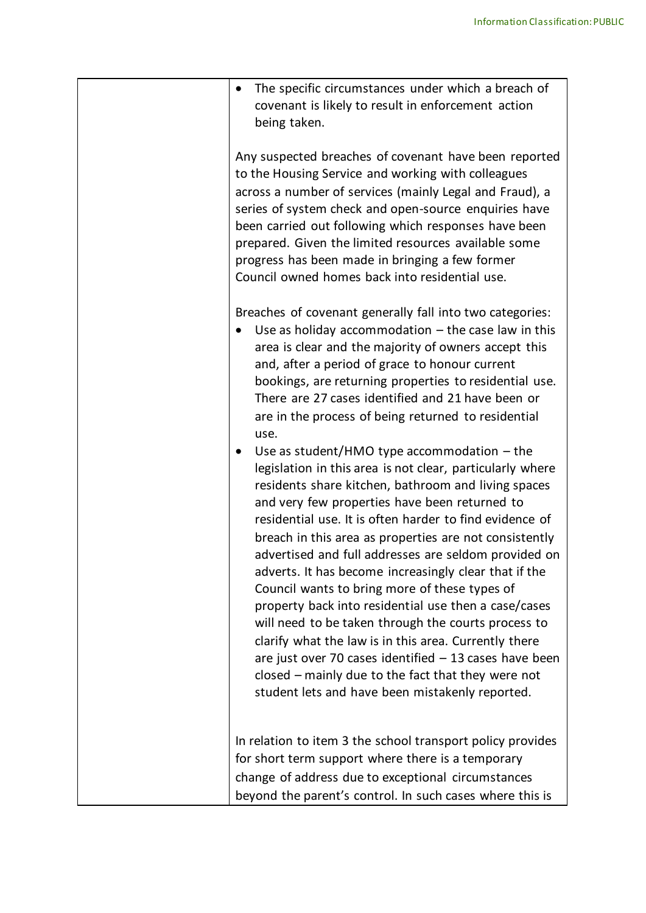| Any suspected breaches of covenant have been reported<br>to the Housing Service and working with colleagues<br>across a number of services (mainly Legal and Fraud), a<br>series of system check and open-source enquiries have<br>been carried out following which responses have been<br>prepared. Given the limited resources available some<br>progress has been made in bringing a few former                                                                                                                                                                                                                                                                                                                                                                                                                                                                                                                                                                                                                                                                                                                                                                                                                                                                 | The specific circumstances under which a breach of |
|--------------------------------------------------------------------------------------------------------------------------------------------------------------------------------------------------------------------------------------------------------------------------------------------------------------------------------------------------------------------------------------------------------------------------------------------------------------------------------------------------------------------------------------------------------------------------------------------------------------------------------------------------------------------------------------------------------------------------------------------------------------------------------------------------------------------------------------------------------------------------------------------------------------------------------------------------------------------------------------------------------------------------------------------------------------------------------------------------------------------------------------------------------------------------------------------------------------------------------------------------------------------|----------------------------------------------------|
| Council owned homes back into residential use.                                                                                                                                                                                                                                                                                                                                                                                                                                                                                                                                                                                                                                                                                                                                                                                                                                                                                                                                                                                                                                                                                                                                                                                                                     |                                                    |
| Breaches of covenant generally fall into two categories:<br>Use as holiday accommodation $-$ the case law in this<br>area is clear and the majority of owners accept this<br>and, after a period of grace to honour current<br>bookings, are returning properties to residential use.<br>There are 27 cases identified and 21 have been or<br>are in the process of being returned to residential<br>use.<br>Use as student/HMO type accommodation $-$ the<br>legislation in this area is not clear, particularly where<br>residents share kitchen, bathroom and living spaces<br>and very few properties have been returned to<br>residential use. It is often harder to find evidence of<br>breach in this area as properties are not consistently<br>advertised and full addresses are seldom provided on<br>adverts. It has become increasingly clear that if the<br>Council wants to bring more of these types of<br>property back into residential use then a case/cases<br>will need to be taken through the courts process to<br>clarify what the law is in this area. Currently there<br>are just over 70 cases identified $-13$ cases have been<br>closed – mainly due to the fact that they were not<br>student lets and have been mistakenly reported. |                                                    |
| In relation to item 3 the school transport policy provides<br>for short term support where there is a temporary<br>change of address due to exceptional circumstances<br>beyond the parent's control. In such cases where this is                                                                                                                                                                                                                                                                                                                                                                                                                                                                                                                                                                                                                                                                                                                                                                                                                                                                                                                                                                                                                                  |                                                    |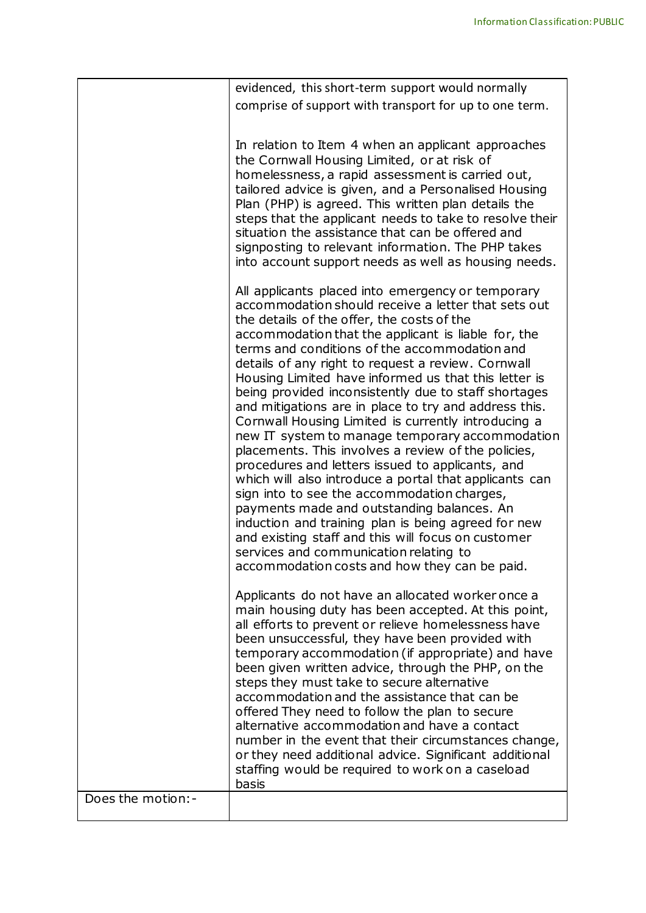|                    | evidenced, this short-term support would normally                                                                                                                                                                                                                                                                                                                                                                                                                                                                                                                                                                                                                                                                                                                                                                                                                                                                                                                                                                                                                                                                                                                                                                                                                                                                                                                                                                                                                                                                                                                                                                                                                                                                                                                                        |
|--------------------|------------------------------------------------------------------------------------------------------------------------------------------------------------------------------------------------------------------------------------------------------------------------------------------------------------------------------------------------------------------------------------------------------------------------------------------------------------------------------------------------------------------------------------------------------------------------------------------------------------------------------------------------------------------------------------------------------------------------------------------------------------------------------------------------------------------------------------------------------------------------------------------------------------------------------------------------------------------------------------------------------------------------------------------------------------------------------------------------------------------------------------------------------------------------------------------------------------------------------------------------------------------------------------------------------------------------------------------------------------------------------------------------------------------------------------------------------------------------------------------------------------------------------------------------------------------------------------------------------------------------------------------------------------------------------------------------------------------------------------------------------------------------------------------|
|                    | comprise of support with transport for up to one term.                                                                                                                                                                                                                                                                                                                                                                                                                                                                                                                                                                                                                                                                                                                                                                                                                                                                                                                                                                                                                                                                                                                                                                                                                                                                                                                                                                                                                                                                                                                                                                                                                                                                                                                                   |
|                    |                                                                                                                                                                                                                                                                                                                                                                                                                                                                                                                                                                                                                                                                                                                                                                                                                                                                                                                                                                                                                                                                                                                                                                                                                                                                                                                                                                                                                                                                                                                                                                                                                                                                                                                                                                                          |
|                    | In relation to Item 4 when an applicant approaches<br>the Cornwall Housing Limited, or at risk of<br>homelessness, a rapid assessment is carried out,<br>tailored advice is given, and a Personalised Housing<br>Plan (PHP) is agreed. This written plan details the<br>steps that the applicant needs to take to resolve their<br>situation the assistance that can be offered and<br>signposting to relevant information. The PHP takes<br>into account support needs as well as housing needs.                                                                                                                                                                                                                                                                                                                                                                                                                                                                                                                                                                                                                                                                                                                                                                                                                                                                                                                                                                                                                                                                                                                                                                                                                                                                                        |
|                    | All applicants placed into emergency or temporary<br>accommodation should receive a letter that sets out<br>the details of the offer, the costs of the<br>accommodation that the applicant is liable for, the<br>terms and conditions of the accommodation and<br>details of any right to request a review. Cornwall<br>Housing Limited have informed us that this letter is<br>being provided inconsistently due to staff shortages<br>and mitigations are in place to try and address this.<br>Cornwall Housing Limited is currently introducing a<br>new IT system to manage temporary accommodation<br>placements. This involves a review of the policies,<br>procedures and letters issued to applicants, and<br>which will also introduce a portal that applicants can<br>sign into to see the accommodation charges,<br>payments made and outstanding balances. An<br>induction and training plan is being agreed for new<br>and existing staff and this will focus on customer<br>services and communication relating to<br>accommodation costs and how they can be paid.<br>Applicants do not have an allocated worker once a<br>main housing duty has been accepted. At this point,<br>all efforts to prevent or relieve homelessness have<br>been unsuccessful, they have been provided with<br>temporary accommodation (if appropriate) and have<br>been given written advice, through the PHP, on the<br>steps they must take to secure alternative<br>accommodation and the assistance that can be<br>offered They need to follow the plan to secure<br>alternative accommodation and have a contact<br>number in the event that their circumstances change,<br>or they need additional advice. Significant additional<br>staffing would be required to work on a caseload |
|                    | basis                                                                                                                                                                                                                                                                                                                                                                                                                                                                                                                                                                                                                                                                                                                                                                                                                                                                                                                                                                                                                                                                                                                                                                                                                                                                                                                                                                                                                                                                                                                                                                                                                                                                                                                                                                                    |
| Does the motion: - |                                                                                                                                                                                                                                                                                                                                                                                                                                                                                                                                                                                                                                                                                                                                                                                                                                                                                                                                                                                                                                                                                                                                                                                                                                                                                                                                                                                                                                                                                                                                                                                                                                                                                                                                                                                          |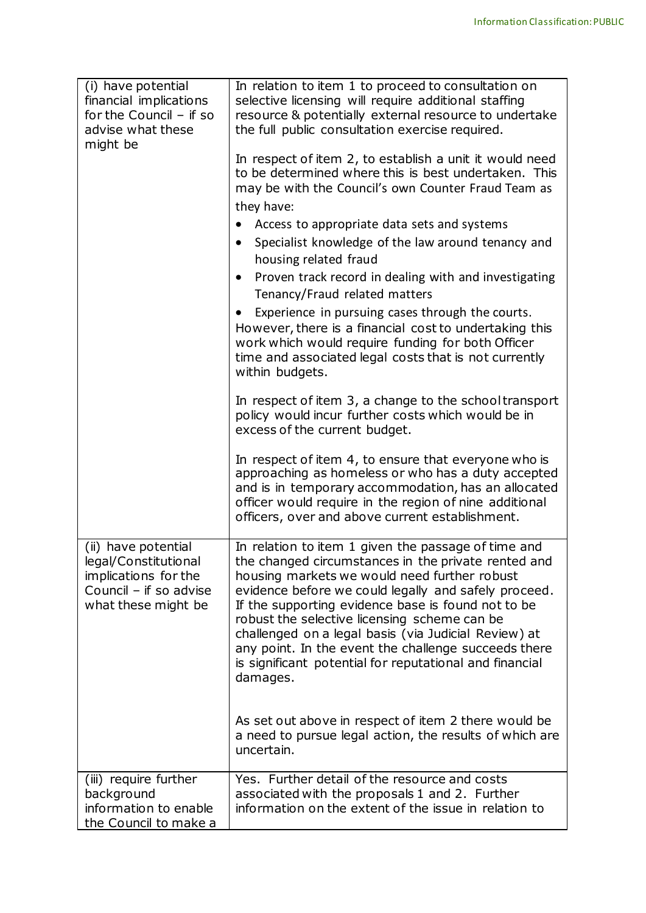| (i) have potential<br>financial implications<br>for the Council $-$ if so<br>advise what these<br>might be           | In relation to item 1 to proceed to consultation on<br>selective licensing will require additional staffing<br>resource & potentially external resource to undertake<br>the full public consultation exercise required.<br>In respect of item 2, to establish a unit it would need<br>to be determined where this is best undertaken. This<br>may be with the Council's own Counter Fraud Team as<br>they have:                                                                                                 |
|----------------------------------------------------------------------------------------------------------------------|-----------------------------------------------------------------------------------------------------------------------------------------------------------------------------------------------------------------------------------------------------------------------------------------------------------------------------------------------------------------------------------------------------------------------------------------------------------------------------------------------------------------|
|                                                                                                                      | Access to appropriate data sets and systems<br>$\bullet$                                                                                                                                                                                                                                                                                                                                                                                                                                                        |
|                                                                                                                      | Specialist knowledge of the law around tenancy and<br>$\bullet$<br>housing related fraud                                                                                                                                                                                                                                                                                                                                                                                                                        |
|                                                                                                                      | Proven track record in dealing with and investigating<br>$\bullet$<br>Tenancy/Fraud related matters                                                                                                                                                                                                                                                                                                                                                                                                             |
|                                                                                                                      | Experience in pursuing cases through the courts.<br>However, there is a financial cost to undertaking this<br>work which would require funding for both Officer<br>time and associated legal costs that is not currently<br>within budgets.                                                                                                                                                                                                                                                                     |
|                                                                                                                      | In respect of item $3$ , a change to the school transport<br>policy would incur further costs which would be in<br>excess of the current budget.                                                                                                                                                                                                                                                                                                                                                                |
|                                                                                                                      | In respect of item 4, to ensure that everyone who is<br>approaching as homeless or who has a duty accepted<br>and is in temporary accommodation, has an allocated<br>officer would require in the region of nine additional<br>officers, over and above current establishment.                                                                                                                                                                                                                                  |
| (ii) have potential<br>legal/Constitutional<br>implications for the<br>Council - if so advise<br>what these might be | In relation to item 1 given the passage of time and<br>the changed circumstances in the private rented and<br>housing markets we would need further robust<br>evidence before we could legally and safely proceed.<br>If the supporting evidence base is found not to be<br>robust the selective licensing scheme can be<br>challenged on a legal basis (via Judicial Review) at<br>any point. In the event the challenge succeeds there<br>is significant potential for reputational and financial<br>damages. |
|                                                                                                                      | As set out above in respect of item 2 there would be<br>a need to pursue legal action, the results of which are<br>uncertain.                                                                                                                                                                                                                                                                                                                                                                                   |
| (iii) require further<br>background<br>information to enable<br>the Council to make a                                | Yes. Further detail of the resource and costs<br>associated with the proposals 1 and 2. Further<br>information on the extent of the issue in relation to                                                                                                                                                                                                                                                                                                                                                        |